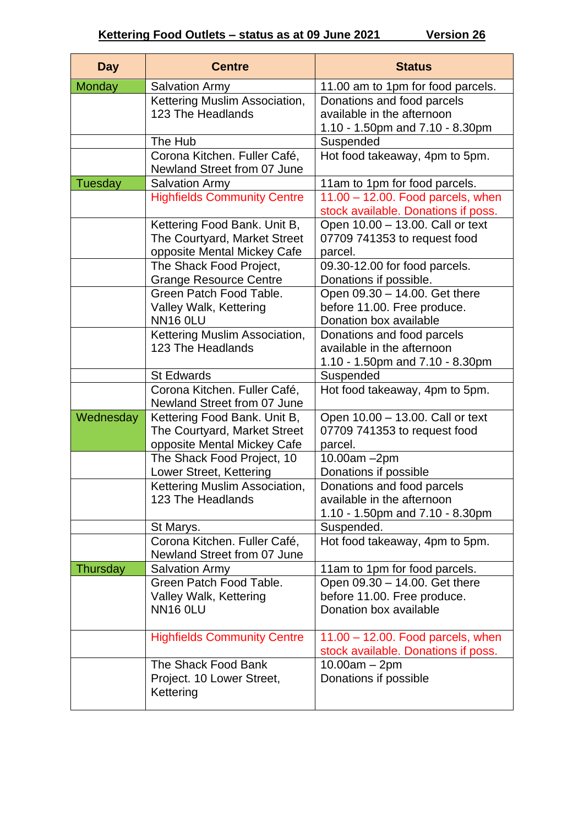| <b>Day</b>     | <b>Centre</b>                                            | <b>Status</b>                                                |
|----------------|----------------------------------------------------------|--------------------------------------------------------------|
| <b>Monday</b>  | <b>Salvation Army</b>                                    | 11.00 am to 1pm for food parcels.                            |
|                | Kettering Muslim Association,                            | Donations and food parcels                                   |
|                | 123 The Headlands                                        | available in the afternoon                                   |
|                |                                                          | 1.10 - 1.50pm and 7.10 - 8.30pm                              |
|                | The Hub                                                  | Suspended                                                    |
|                | Corona Kitchen. Fuller Café,                             | Hot food takeaway, 4pm to 5pm.                               |
|                | Newland Street from 07 June                              |                                                              |
| <b>Tuesday</b> | <b>Salvation Army</b>                                    | 11am to 1pm for food parcels.                                |
|                | <b>Highfields Community Centre</b>                       | $11.00 - 12.00$ . Food parcels, when                         |
|                |                                                          | stock available. Donations if poss.                          |
|                | Kettering Food Bank. Unit B,                             | Open 10.00 - 13.00. Call or text                             |
|                | The Courtyard, Market Street                             | 07709 741353 to request food                                 |
|                | opposite Mental Mickey Cafe                              | parcel.                                                      |
|                | The Shack Food Project,                                  | 09.30-12.00 for food parcels.                                |
|                | <b>Grange Resource Centre</b><br>Green Patch Food Table. | Donations if possible.                                       |
|                | Valley Walk, Kettering                                   | Open 09.30 - 14.00. Get there<br>before 11.00. Free produce. |
|                | <b>NN16 0LU</b>                                          | Donation box available                                       |
|                | Kettering Muslim Association,                            | Donations and food parcels                                   |
|                | 123 The Headlands                                        | available in the afternoon                                   |
|                |                                                          | 1.10 - 1.50pm and 7.10 - 8.30pm                              |
|                | <b>St Edwards</b>                                        | Suspended                                                    |
|                | Corona Kitchen. Fuller Café,                             | Hot food takeaway, 4pm to 5pm.                               |
|                | Newland Street from 07 June                              |                                                              |
| Wednesday      | Kettering Food Bank. Unit B,                             | Open 10.00 - 13.00. Call or text                             |
|                | The Courtyard, Market Street                             | 07709 741353 to request food                                 |
|                | opposite Mental Mickey Cafe                              | parcel.                                                      |
|                | The Shack Food Project, 10                               | 10.00am -2pm                                                 |
|                | Lower Street, Kettering                                  | Donations if possible                                        |
|                | Kettering Muslim Association,                            | Donations and food parcels                                   |
|                | 123 The Headlands                                        | available in the afternoon                                   |
|                |                                                          | 1.10 - 1.50pm and 7.10 - 8.30pm                              |
|                | St Marys.                                                | Suspended.                                                   |
|                | Corona Kitchen. Fuller Café,                             | Hot food takeaway, 4pm to 5pm.                               |
|                | Newland Street from 07 June                              |                                                              |
| Thursday       | <b>Salvation Army</b><br>Green Patch Food Table.         | 11am to 1pm for food parcels.                                |
|                | Valley Walk, Kettering                                   | Open 09.30 - 14.00. Get there<br>before 11.00. Free produce. |
|                | <b>NN16 OLU</b>                                          | Donation box available                                       |
|                |                                                          |                                                              |
|                | <b>Highfields Community Centre</b>                       | 11.00 - 12.00. Food parcels, when                            |
|                |                                                          | stock available. Donations if poss.                          |
|                | The Shack Food Bank                                      | $10.00am - 2pm$                                              |
|                | Project. 10 Lower Street,                                | Donations if possible                                        |
|                | Kettering                                                |                                                              |
|                |                                                          |                                                              |